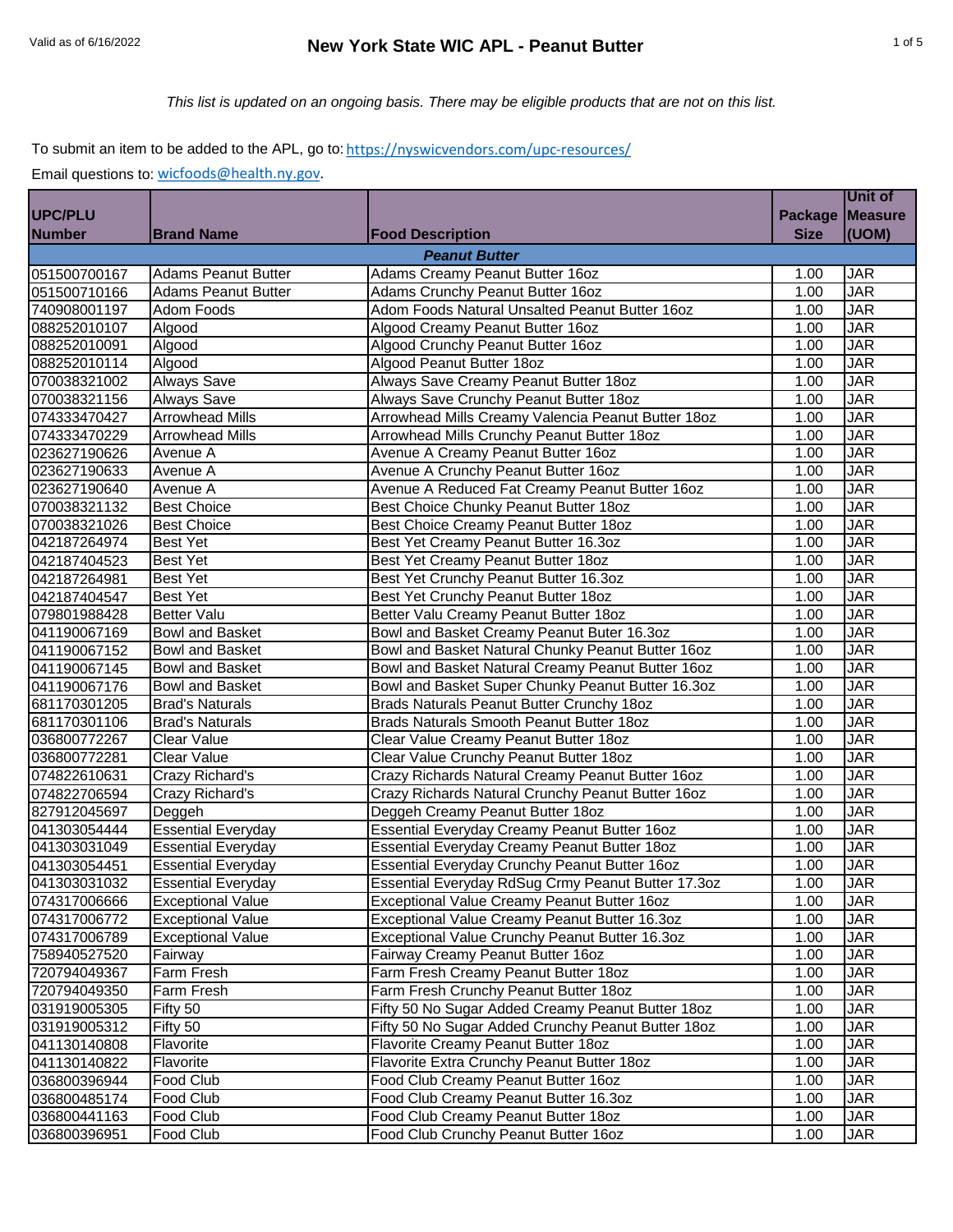# *This list is updated on an ongoing basis. There may be eligible products that are not on this list.*

## To submit an item to be added to the APL, go to: https://nyswicvendors.com/upc-resources/

|                              |                            |                                                    |                | Unit of        |
|------------------------------|----------------------------|----------------------------------------------------|----------------|----------------|
| UPC/PLU                      |                            |                                                    | <b>Package</b> | <b>Measure</b> |
| <b>Number</b>                | <b>Brand Name</b>          | <b>Food Description</b>                            | <b>Size</b>    | (UOM)          |
|                              |                            | <b>Peanut Butter</b>                               |                |                |
| 051500700167                 | <b>Adams Peanut Butter</b> | Adams Creamy Peanut Butter 16oz                    | 1.00           | <b>JAR</b>     |
| 051500710166                 | <b>Adams Peanut Butter</b> | Adams Crunchy Peanut Butter 16oz                   | 1.00           | <b>JAR</b>     |
| 740908001197                 | Adom Foods                 | Adom Foods Natural Unsalted Peanut Butter 16oz     | 1.00           | <b>JAR</b>     |
| 088252010107                 | Algood                     | Algood Creamy Peanut Butter 16oz                   | 1.00           | <b>JAR</b>     |
| 088252010091                 | Algood                     | Algood Crunchy Peanut Butter 16oz                  | 1.00           | <b>JAR</b>     |
| 088252010114                 | Algood                     | Algood Peanut Butter 18oz                          | 1.00           | <b>JAR</b>     |
| 070038321002                 | <b>Always Save</b>         | Always Save Creamy Peanut Butter 18oz              | 1.00           | <b>JAR</b>     |
| 070038321156                 | <b>Always Save</b>         | Always Save Crunchy Peanut Butter 180z             | 1.00           | <b>JAR</b>     |
| 074333470427                 | <b>Arrowhead Mills</b>     | Arrowhead Mills Creamy Valencia Peanut Butter 18oz | 1.00           | <b>JAR</b>     |
| 074333470229                 | <b>Arrowhead Mills</b>     | Arrowhead Mills Crunchy Peanut Butter 18oz         | 1.00           | <b>JAR</b>     |
| 023627190626                 | Avenue A                   | Avenue A Creamy Peanut Butter 16oz                 | 1.00           | <b>JAR</b>     |
| 023627190633                 | Avenue A                   | Avenue A Crunchy Peanut Butter 16oz                | 1.00           | <b>JAR</b>     |
| 023627190640                 | Avenue A                   | Avenue A Reduced Fat Creamy Peanut Butter 16oz     | 1.00           | <b>JAR</b>     |
| 070038321132                 | <b>Best Choice</b>         | Best Choice Chunky Peanut Butter 18oz              | 1.00           | <b>JAR</b>     |
| 070038321026                 | <b>Best Choice</b>         | Best Choice Creamy Peanut Butter 180z              | 1.00           | <b>JAR</b>     |
| 042187264974                 | <b>Best Yet</b>            | Best Yet Creamy Peanut Butter 16.3oz               | 1.00           | <b>JAR</b>     |
| 042187404523                 | <b>Best Yet</b>            | Best Yet Creamy Peanut Butter 18oz                 | 1.00           | <b>JAR</b>     |
| 042187264981                 | <b>Best Yet</b>            | Best Yet Crunchy Peanut Butter 16.3oz              | 1.00           | <b>JAR</b>     |
| 042187404547                 | <b>Best Yet</b>            | Best Yet Crunchy Peanut Butter 18oz                | 1.00           | <b>JAR</b>     |
| 079801988428                 | <b>Better Valu</b>         | Better Valu Creamy Peanut Butter 180z              | 1.00           | <b>JAR</b>     |
| 041190067169                 | <b>Bowl and Basket</b>     | Bowl and Basket Creamy Peanut Buter 16.3oz         | 1.00           | <b>JAR</b>     |
| 041190067152                 | <b>Bowl and Basket</b>     | Bowl and Basket Natural Chunky Peanut Butter 16oz  | 1.00           | <b>JAR</b>     |
| 041190067145                 | <b>Bowl and Basket</b>     | Bowl and Basket Natural Creamy Peanut Butter 16oz  | 1.00           | <b>JAR</b>     |
|                              | <b>Bowl and Basket</b>     | Bowl and Basket Super Chunky Peanut Butter 16.3oz  | 1.00           | <b>JAR</b>     |
| 041190067176<br>681170301205 | <b>Brad's Naturals</b>     | Brads Naturals Peanut Butter Crunchy 18oz          | 1.00           | <b>JAR</b>     |
| 681170301106                 | <b>Brad's Naturals</b>     | Brads Naturals Smooth Peanut Butter 18oz           | 1.00           | <b>JAR</b>     |
| 036800772267                 | <b>Clear Value</b>         | Clear Value Creamy Peanut Butter 18oz              | 1.00           | <b>JAR</b>     |
| 036800772281                 | <b>Clear Value</b>         | Clear Value Crunchy Peanut Butter 18oz             | 1.00           | <b>JAR</b>     |
| 074822610631                 | Crazy Richard's            | Crazy Richards Natural Creamy Peanut Butter 16oz   | 1.00           | <b>JAR</b>     |
| 074822706594                 | Crazy Richard's            | Crazy Richards Natural Crunchy Peanut Butter 16oz  | 1.00           | <b>JAR</b>     |
| 827912045697                 | Deggeh                     | Deggeh Creamy Peanut Butter 18oz                   | 1.00           | <b>JAR</b>     |
| 041303054444                 | <b>Essential Everyday</b>  | Essential Everyday Creamy Peanut Butter 16oz       | 1.00           | <b>JAR</b>     |
| 041303031049                 | <b>Essential Everyday</b>  | Essential Everyday Creamy Peanut Butter 18oz       | 1.00           | <b>JAR</b>     |
| 041303054451                 | <b>Essential Everyday</b>  | Essential Everyday Crunchy Peanut Butter 16oz      | 1.00           | <b>JAR</b>     |
| 041303031032                 | <b>Essential Everyday</b>  | Essential Everyday RdSug Crmy Peanut Butter 17.3oz | 1.00           | <b>JAR</b>     |
| 074317006666                 | <b>Exceptional Value</b>   | Exceptional Value Creamy Peanut Butter 16oz        | 1.00           | <b>JAR</b>     |
| 074317006772                 | <b>Exceptional Value</b>   | Exceptional Value Creamy Peanut Butter 16.3oz      | 1.00           | <b>JAR</b>     |
| 074317006789                 | <b>Exceptional Value</b>   | Exceptional Value Crunchy Peanut Butter 16.3oz     | 1.00           | <b>JAR</b>     |
| 758940527520                 | Fairway                    | Fairway Creamy Peanut Butter 16oz                  | 1.00           | JAR            |
| 720794049367                 | Farm Fresh                 | Farm Fresh Creamy Peanut Butter 18oz               | 1.00           | JAR            |
| 720794049350                 | Farm Fresh                 | Farm Fresh Crunchy Peanut Butter 18oz              | 1.00           | JAR            |
| 031919005305                 | Fifty 50                   | Fifty 50 No Sugar Added Creamy Peanut Butter 18oz  | 1.00           | JAR            |
| 031919005312                 | Fifty 50                   | Fifty 50 No Sugar Added Crunchy Peanut Butter 18oz | 1.00           | <b>JAR</b>     |
| 041130140808                 | Flavorite                  | Flavorite Creamy Peanut Butter 18oz                | 1.00           | JAR            |
| 041130140822                 | Flavorite                  | Flavorite Extra Crunchy Peanut Butter 18oz         | 1.00           | JAR            |
| 036800396944                 | Food Club                  | Food Club Creamy Peanut Butter 16oz                | 1.00           | JAR            |
| 036800485174                 | Food Club                  | Food Club Creamy Peanut Butter 16.3oz              | 1.00           | JAR            |
| 036800441163                 | Food Club                  | Food Club Creamy Peanut Butter 18oz                | 1.00           | JAR            |
| 036800396951                 | Food Club                  | Food Club Crunchy Peanut Butter 16oz               | 1.00           | JAR            |
|                              |                            |                                                    |                |                |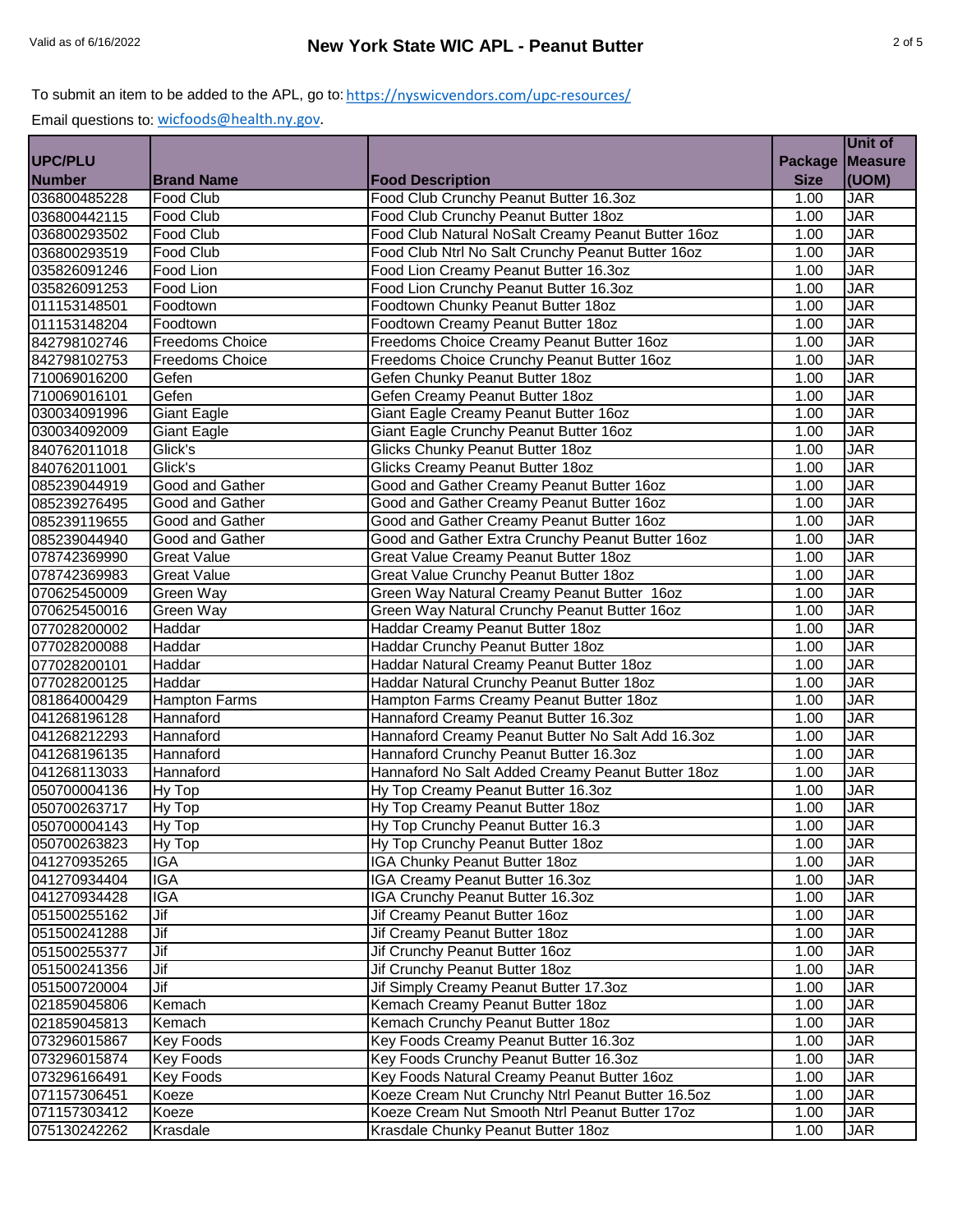|                |                        |                                                    |                | Unit of        |
|----------------|------------------------|----------------------------------------------------|----------------|----------------|
| <b>UPC/PLU</b> |                        |                                                    | <b>Package</b> | <b>Measure</b> |
| <b>Number</b>  | <b>Brand Name</b>      | <b>Food Description</b>                            | <b>Size</b>    | (UOM)          |
| 036800485228   | Food Club              | Food Club Crunchy Peanut Butter 16.3oz             | 1.00           | <b>JAR</b>     |
| 036800442115   | Food Club              | Food Club Crunchy Peanut Butter 18oz               | 1.00           | <b>JAR</b>     |
| 036800293502   | Food Club              | Food Club Natural NoSalt Creamy Peanut Butter 16oz | 1.00           | <b>JAR</b>     |
| 036800293519   | Food Club              | Food Club Ntrl No Salt Crunchy Peanut Butter 16oz  | 1.00           | <b>JAR</b>     |
| 035826091246   | Food Lion              | Food Lion Creamy Peanut Butter 16.3oz              | 1.00           | <b>JAR</b>     |
| 035826091253   | Food Lion              | Food Lion Crunchy Peanut Butter 16.3oz             | 1.00           | <b>JAR</b>     |
| 011153148501   | Foodtown               | Foodtown Chunky Peanut Butter 18oz                 | 1.00           | <b>JAR</b>     |
| 011153148204   | Foodtown               | Foodtown Creamy Peanut Butter 18oz                 | 1.00           | <b>JAR</b>     |
| 842798102746   | <b>Freedoms Choice</b> | Freedoms Choice Creamy Peanut Butter 16oz          | 1.00           | <b>JAR</b>     |
| 842798102753   | <b>Freedoms Choice</b> | Freedoms Choice Crunchy Peanut Butter 16oz         | 1.00           | <b>JAR</b>     |
| 710069016200   | Gefen                  | Gefen Chunky Peanut Butter 18oz                    | 1.00           | <b>JAR</b>     |
| 710069016101   | Gefen                  | Gefen Creamy Peanut Butter 18oz                    | 1.00           | <b>JAR</b>     |
| 030034091996   | <b>Giant Eagle</b>     | Giant Eagle Creamy Peanut Butter 16oz              | 1.00           | <b>JAR</b>     |
| 030034092009   | Giant Eagle            | Giant Eagle Crunchy Peanut Butter 16oz             | 1.00           | <b>JAR</b>     |
| 840762011018   | Glick's                | Glicks Chunky Peanut Butter 18oz                   | 1.00           | <b>JAR</b>     |
| 840762011001   | Glick's                | Glicks Creamy Peanut Butter 18oz                   | 1.00           | <b>JAR</b>     |
| 085239044919   | <b>Good and Gather</b> | Good and Gather Creamy Peanut Butter 16oz          | 1.00           | <b>JAR</b>     |
| 085239276495   | Good and Gather        | Good and Gather Creamy Peanut Butter 16oz          | 1.00           | <b>JAR</b>     |
| 085239119655   | Good and Gather        | Good and Gather Creamy Peanut Butter 160z          | 1.00           | <b>JAR</b>     |
| 085239044940   | Good and Gather        | Good and Gather Extra Crunchy Peanut Butter 16oz   | 1.00           | <b>JAR</b>     |
| 078742369990   | <b>Great Value</b>     | Great Value Creamy Peanut Butter 18oz              | 1.00           | <b>JAR</b>     |
| 078742369983   | <b>Great Value</b>     | Great Value Crunchy Peanut Butter 18oz             | 1.00           | <b>JAR</b>     |
| 070625450009   | Green Way              | Green Way Natural Creamy Peanut Butter 16oz        | 1.00           | <b>JAR</b>     |
| 070625450016   | Green Way              | Green Way Natural Crunchy Peanut Butter 16oz       | 1.00           | <b>JAR</b>     |
| 077028200002   | Haddar                 | Haddar Creamy Peanut Butter 18oz                   | 1.00           | <b>JAR</b>     |
| 077028200088   | Haddar                 | Haddar Crunchy Peanut Butter 18oz                  | 1.00           | <b>JAR</b>     |
| 077028200101   | Haddar                 | Haddar Natural Creamy Peanut Butter 18oz           | 1.00           | <b>JAR</b>     |
| 077028200125   | Haddar                 | Haddar Natural Crunchy Peanut Butter 18oz          | 1.00           | <b>JAR</b>     |
| 081864000429   | <b>Hampton Farms</b>   | Hampton Farms Creamy Peanut Butter 18oz            | 1.00           | <b>JAR</b>     |
| 041268196128   | Hannaford              | Hannaford Creamy Peanut Butter 16.3oz              | 1.00           | <b>JAR</b>     |
| 041268212293   | Hannaford              | Hannaford Creamy Peanut Butter No Salt Add 16.3oz  | 1.00           | <b>JAR</b>     |
| 041268196135   | Hannaford              | Hannaford Crunchy Peanut Butter 16.3oz             | 1.00           | <b>JAR</b>     |
| 041268113033   | Hannaford              | Hannaford No Salt Added Creamy Peanut Butter 18oz  | 1.00           | <b>JAR</b>     |
| 050700004136   | Hy Top                 | Hy Top Creamy Peanut Butter 16.3oz                 | 1.00           | <b>JAR</b>     |
| 050700263717   | <b>Hy Top</b>          | Hy Top Creamy Peanut Butter 18oz                   | 1.00           | <b>JAR</b>     |
| 050700004143   | Hy Top                 | Hy Top Crunchy Peanut Butter 16.3                  | 1.00           | <b>JAR</b>     |
| 050700263823   | Hy Top                 | Hy Top Crunchy Peanut Butter 18oz                  | 1.00           | <b>JAR</b>     |
| 041270935265   | <b>IGA</b>             | IGA Chunky Peanut Butter 18oz                      | 1.00           | <b>JAR</b>     |
| 041270934404   | <b>IGA</b>             | IGA Creamy Peanut Butter 16.3oz                    | 1.00           | <b>JAR</b>     |
| 041270934428   | IGA                    | IGA Crunchy Peanut Butter 16.3oz                   | 1.00           | <b>JAR</b>     |
| 051500255162   | Jif                    | Jif Creamy Peanut Butter 16oz                      | 1.00           | JAR            |
| 051500241288   | Jif                    | Jif Creamy Peanut Butter 180z                      | 1.00           | JAR            |
| 051500255377   | <b>Jif</b>             | Jif Crunchy Peanut Butter 16oz                     | 1.00           | JAR            |
| 051500241356   | Jif                    | Jif Crunchy Peanut Butter 180z                     | 1.00           | JAR            |
| 051500720004   | Jif                    | Jif Simply Creamy Peanut Butter 17.3oz             | 1.00           | JAR            |
| 021859045806   | Kemach                 | Kemach Creamy Peanut Butter 18oz                   | 1.00           | JAR            |
| 021859045813   | Kemach                 | Kemach Crunchy Peanut Butter 18oz                  | 1.00           | <b>JAR</b>     |
| 073296015867   | <b>Key Foods</b>       | Key Foods Creamy Peanut Butter 16.3oz              | 1.00           | JAR            |
| 073296015874   | <b>Key Foods</b>       | Key Foods Crunchy Peanut Butter 16.3oz             | 1.00           | JAR            |
| 073296166491   | <b>Key Foods</b>       | Key Foods Natural Creamy Peanut Butter 16oz        | 1.00           | <b>JAR</b>     |
| 071157306451   | Koeze                  | Koeze Cream Nut Crunchy Ntrl Peanut Butter 16.5oz  | 1.00           | <b>JAR</b>     |
| 071157303412   | Koeze                  | Koeze Cream Nut Smooth Ntrl Peanut Butter 17oz     | 1.00           | JAR            |
| 075130242262   | Krasdale               | Krasdale Chunky Peanut Butter 18oz                 | 1.00           | JAR            |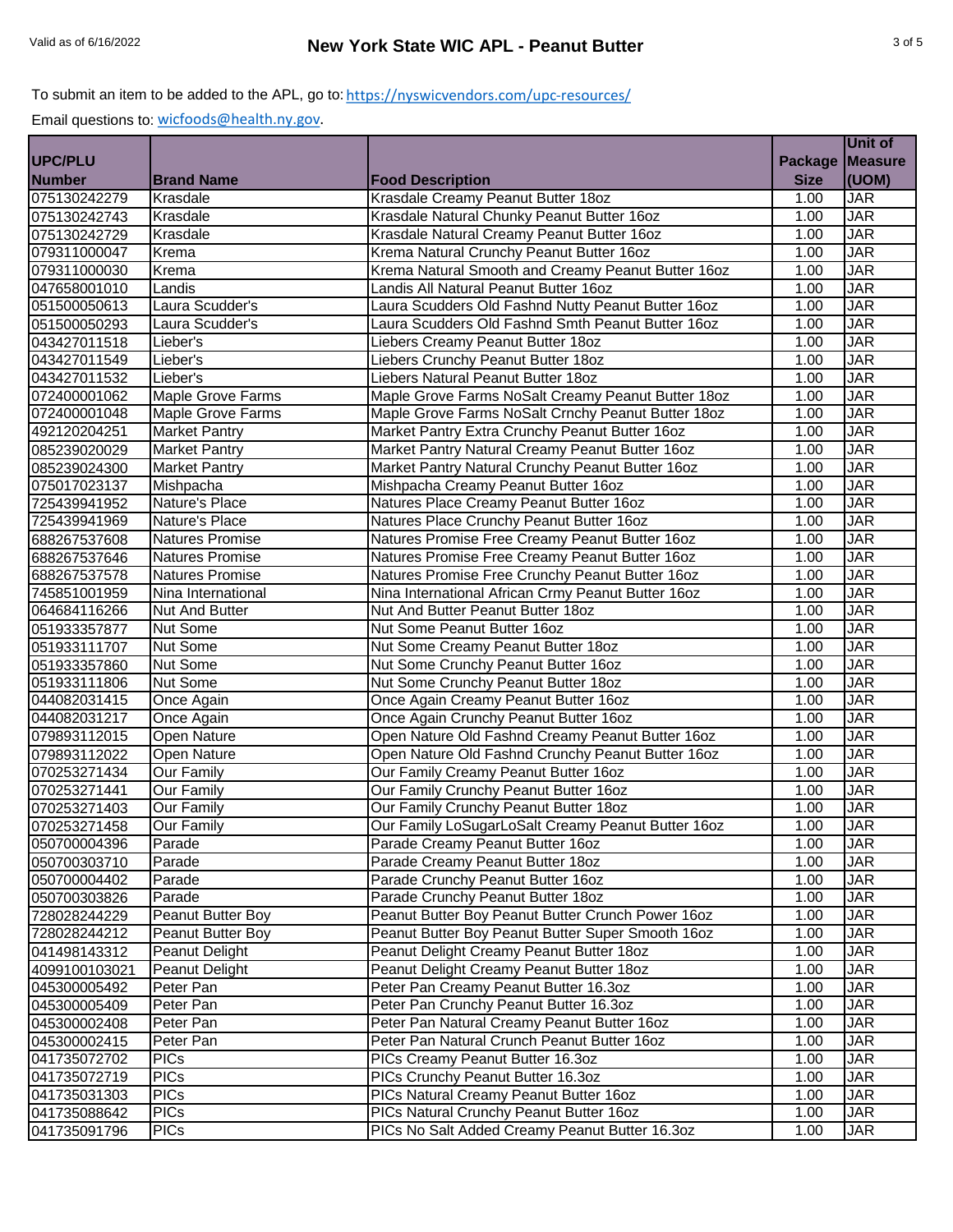|                |                        |                                                    |                | Unit of        |
|----------------|------------------------|----------------------------------------------------|----------------|----------------|
| <b>UPC/PLU</b> |                        |                                                    | <b>Package</b> | <b>Measure</b> |
| <b>Number</b>  | <b>Brand Name</b>      | <b>Food Description</b>                            | <b>Size</b>    | (UOM)          |
| 075130242279   | Krasdale               | Krasdale Creamy Peanut Butter 18oz                 | 1.00           | <b>JAR</b>     |
| 075130242743   | Krasdale               | Krasdale Natural Chunky Peanut Butter 16oz         | 1.00           | <b>JAR</b>     |
| 075130242729   | Krasdale               | Krasdale Natural Creamy Peanut Butter 16oz         | 1.00           | <b>JAR</b>     |
| 079311000047   | Krema                  | Krema Natural Crunchy Peanut Butter 16oz           | 1.00           | <b>JAR</b>     |
| 079311000030   | Krema                  | Krema Natural Smooth and Creamy Peanut Butter 16oz | 1.00           | <b>JAR</b>     |
| 047658001010   | Landis                 | Landis All Natural Peanut Butter 16oz              | 1.00           | <b>JAR</b>     |
| 051500050613   | Laura Scudder's        | Laura Scudders Old Fashnd Nutty Peanut Butter 16oz | 1.00           | <b>JAR</b>     |
| 051500050293   | Laura Scudder's        | Laura Scudders Old Fashnd Smth Peanut Butter 16oz  | 1.00           | <b>JAR</b>     |
| 043427011518   | Lieber's               | Liebers Creamy Peanut Butter 18oz                  | 1.00           | <b>JAR</b>     |
| 043427011549   | Lieber's               | Liebers Crunchy Peanut Butter 18oz                 | 1.00           | <b>JAR</b>     |
| 043427011532   | Lieber's               | Liebers Natural Peanut Butter 18oz                 | 1.00           | <b>JAR</b>     |
| 072400001062   | Maple Grove Farms      | Maple Grove Farms NoSalt Creamy Peanut Butter 18oz | 1.00           | <b>JAR</b>     |
| 072400001048   | Maple Grove Farms      | Maple Grove Farms NoSalt Crnchy Peanut Butter 18oz | 1.00           | <b>JAR</b>     |
| 492120204251   | <b>Market Pantry</b>   | Market Pantry Extra Crunchy Peanut Butter 16oz     | 1.00           | <b>JAR</b>     |
| 085239020029   | Market Pantry          | Market Pantry Natural Creamy Peanut Butter 16oz    | 1.00           | <b>JAR</b>     |
| 085239024300   | <b>Market Pantry</b>   | Market Pantry Natural Crunchy Peanut Butter 16oz   | 1.00           | <b>JAR</b>     |
| 075017023137   | Mishpacha              | Mishpacha Creamy Peanut Butter 16oz                | 1.00           | <b>JAR</b>     |
| 725439941952   | Nature's Place         | Natures Place Creamy Peanut Butter 16oz            | 1.00           | <b>JAR</b>     |
| 725439941969   | Nature's Place         | Natures Place Crunchy Peanut Butter 16oz           | 1.00           | <b>JAR</b>     |
| 688267537608   | <b>Natures Promise</b> | Natures Promise Free Creamy Peanut Butter 16oz     | 1.00           | <b>JAR</b>     |
| 688267537646   | <b>Natures Promise</b> | Natures Promise Free Creamy Peanut Butter 16oz     | 1.00           | <b>JAR</b>     |
| 688267537578   | <b>Natures Promise</b> | Natures Promise Free Crunchy Peanut Butter 16oz    | 1.00           | <b>JAR</b>     |
| 745851001959   | Nina International     | Nina International African Crmy Peanut Butter 16oz | 1.00           | <b>JAR</b>     |
| 064684116266   | <b>Nut And Butter</b>  | Nut And Butter Peanut Butter 18oz                  | 1.00           | <b>JAR</b>     |
| 051933357877   | Nut Some               | Nut Some Peanut Butter 16oz                        | 1.00           | <b>JAR</b>     |
| 051933111707   | Nut Some               | Nut Some Creamy Peanut Butter 18oz                 | 1.00           | <b>JAR</b>     |
| 051933357860   | <b>Nut Some</b>        | Nut Some Crunchy Peanut Butter 16oz                | 1.00           | <b>JAR</b>     |
| 051933111806   | <b>Nut Some</b>        | Nut Some Crunchy Peanut Butter 18oz                | 1.00           | <b>JAR</b>     |
| 044082031415   | Once Again             | Once Again Creamy Peanut Butter 16oz               | 1.00           | <b>JAR</b>     |
| 044082031217   | Once Again             | Once Again Crunchy Peanut Butter 16oz              | 1.00           | <b>JAR</b>     |
| 079893112015   | <b>Open Nature</b>     | Open Nature Old Fashnd Creamy Peanut Butter 16oz   | 1.00           | <b>JAR</b>     |
| 079893112022   | <b>Open Nature</b>     | Open Nature Old Fashnd Crunchy Peanut Butter 16oz  | 1.00           | <b>JAR</b>     |
| 070253271434   | <b>Our Family</b>      | Our Family Creamy Peanut Butter 16oz               | 1.00           | <b>JAR</b>     |
| 070253271441   | <b>Our Family</b>      | Our Family Crunchy Peanut Butter 16oz              | 1.00           | <b>JAR</b>     |
| 070253271403   | <b>Our Family</b>      | Our Family Crunchy Peanut Butter 18oz              | 1.00           | <b>JAR</b>     |
| 070253271458   | Our Family             | Our Family LoSugarLoSalt Creamy Peanut Butter 16oz | 1.00           | <b>JAR</b>     |
| 050700004396   | Parade                 | Parade Creamy Peanut Butter 16oz                   | 1.00           | <b>JAR</b>     |
| 050700303710   | Parade                 | Parade Creamy Peanut Butter 18oz                   | 1.00           | <b>JAR</b>     |
| 050700004402   | Parade                 | Parade Crunchy Peanut Butter 16oz                  | 1.00           | <b>JAR</b>     |
| 050700303826   | Parade                 | Parade Crunchy Peanut Butter 18oz                  | 1.00           | <b>JAR</b>     |
| 728028244229   | Peanut Butter Boy      | Peanut Butter Boy Peanut Butter Crunch Power 16oz  | 1.00           | JAR            |
| 728028244212   | Peanut Butter Boy      | Peanut Butter Boy Peanut Butter Super Smooth 16oz  | 1.00           | JAR            |
| 041498143312   | Peanut Delight         | Peanut Delight Creamy Peanut Butter 180z           | 1.00           | JAR            |
| 4099100103021  | Peanut Delight         | Peanut Delight Creamy Peanut Butter 180z           | 1.00           | JAR            |
| 045300005492   | Peter Pan              | Peter Pan Creamy Peanut Butter 16.3oz              | 1.00           | JAR            |
| 045300005409   | Peter Pan              | Peter Pan Crunchy Peanut Butter 16.3oz             | 1.00           | JAR            |
| 045300002408   | Peter Pan              | Peter Pan Natural Creamy Peanut Butter 16oz        | 1.00           | <b>JAR</b>     |
| 045300002415   | Peter Pan              | Peter Pan Natural Crunch Peanut Butter 16oz        | 1.00           | JAR            |
| 041735072702   | <b>PICs</b>            | PICs Creamy Peanut Butter 16.3oz                   | 1.00           | <b>JAR</b>     |
| 041735072719   | <b>PICs</b>            | PICs Crunchy Peanut Butter 16.3oz                  | 1.00           | <b>JAR</b>     |
| 041735031303   | <b>PICs</b>            | PICs Natural Creamy Peanut Butter 16oz             | 1.00           | JAR            |
| 041735088642   | <b>PICs</b>            | PICs Natural Crunchy Peanut Butter 16oz            | 1.00           | <b>JAR</b>     |
| 041735091796   | <b>PICs</b>            | PICs No Salt Added Creamy Peanut Butter 16.3oz     | 1.00           | JAR            |
|                |                        |                                                    |                |                |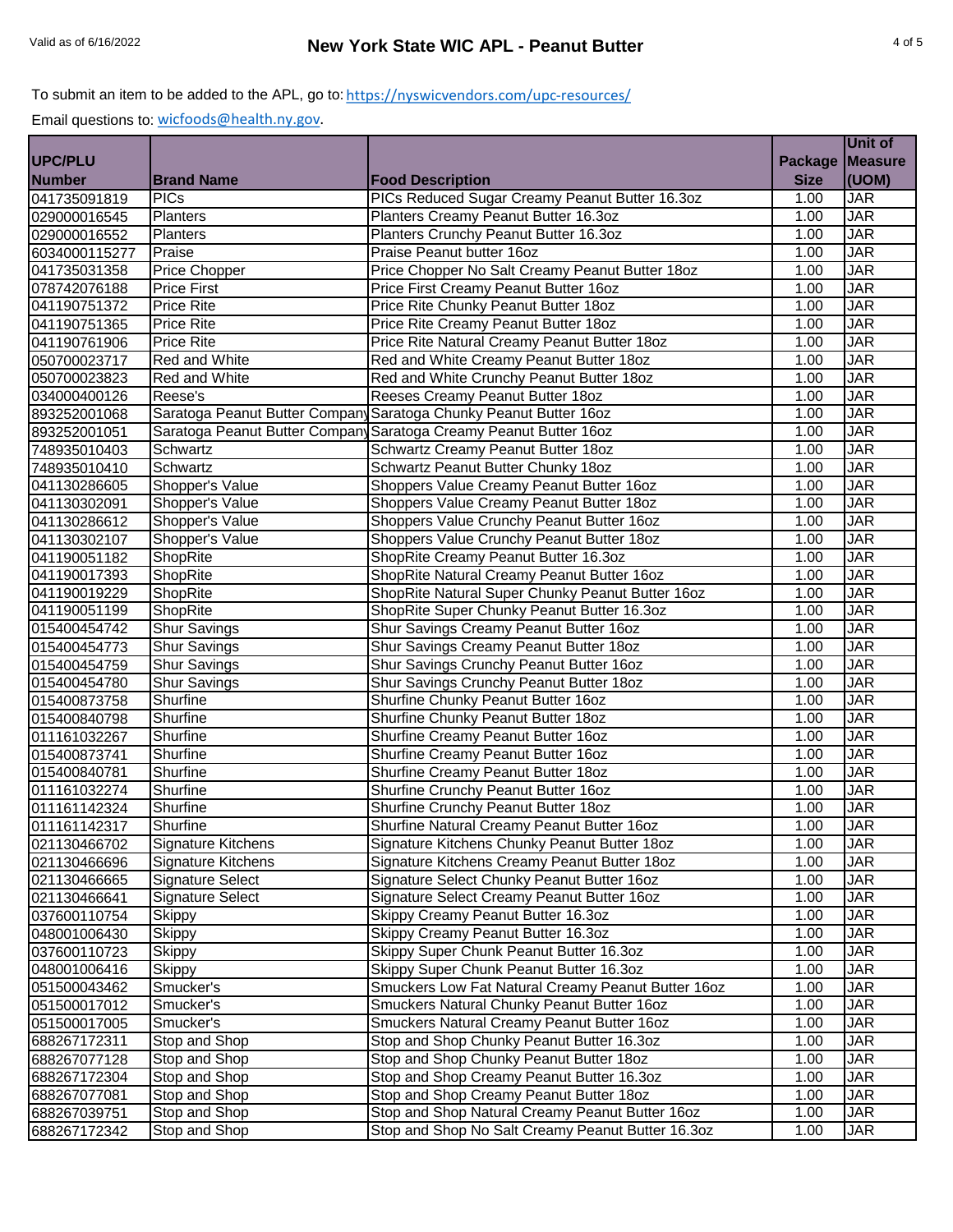|                              |                         |                                                                   |                | Unit of           |
|------------------------------|-------------------------|-------------------------------------------------------------------|----------------|-------------------|
| <b>UPC/PLU</b>               |                         |                                                                   | <b>Package</b> | <b>Measure</b>    |
| <b>Number</b>                | <b>Brand Name</b>       | <b>Food Description</b>                                           | <b>Size</b>    | (UOM)             |
| 041735091819                 | <b>PICs</b>             | PICs Reduced Sugar Creamy Peanut Butter 16.3oz                    | 1.00           | <b>JAR</b>        |
| 029000016545                 | Planters                | Planters Creamy Peanut Butter 16.3oz                              | 1.00           | <b>JAR</b>        |
| 029000016552                 | Planters                | Planters Crunchy Peanut Butter 16.3oz                             | 1.00           | <b>JAR</b>        |
| 6034000115277                | Praise                  | Praise Peanut butter 16oz                                         | 1.00           | <b>JAR</b>        |
| 041735031358                 | Price Chopper           | Price Chopper No Salt Creamy Peanut Butter 18oz                   | 1.00           | <b>JAR</b>        |
| 078742076188                 | <b>Price First</b>      | Price First Creamy Peanut Butter 16oz                             | 1.00           | <b>JAR</b>        |
| 041190751372                 | <b>Price Rite</b>       | Price Rite Chunky Peanut Butter 180z                              | 1.00           | <b>JAR</b>        |
| 041190751365                 | <b>Price Rite</b>       | Price Rite Creamy Peanut Butter 18oz                              | 1.00           | <b>JAR</b>        |
| 041190761906                 | <b>Price Rite</b>       | Price Rite Natural Creamy Peanut Butter 180z                      | 1.00           | <b>JAR</b>        |
| 050700023717                 | Red and White           | Red and White Creamy Peanut Butter 18oz                           | 1.00           | <b>JAR</b>        |
| 050700023823                 | Red and White           | Red and White Crunchy Peanut Butter 18oz                          | 1.00           | <b>JAR</b>        |
| 034000400126                 | Reese's                 | Reeses Creamy Peanut Butter 18oz                                  | 1.00           | <b>JAR</b>        |
| 893252001068                 |                         | Saratoga Peanut Butter Company Saratoga Chunky Peanut Butter 16oz | 1.00           | <b>JAR</b>        |
| 893252001051                 |                         | Saratoga Peanut Butter Company Saratoga Creamy Peanut Butter 160z | 1.00           | <b>JAR</b>        |
| 748935010403                 | Schwartz                | Schwartz Creamy Peanut Butter 18oz                                | 1.00           | <b>JAR</b>        |
| 748935010410                 | Schwartz                | Schwartz Peanut Butter Chunky 18oz                                | 1.00           | <b>JAR</b>        |
| 041130286605                 | Shopper's Value         | Shoppers Value Creamy Peanut Butter 16oz                          | 1.00           | <b>JAR</b>        |
| 041130302091                 | Shopper's Value         | Shoppers Value Creamy Peanut Butter 18oz                          | 1.00           | <b>JAR</b>        |
| 041130286612                 | Shopper's Value         | Shoppers Value Crunchy Peanut Butter 16oz                         | 1.00           | <b>JAR</b>        |
| 041130302107                 | Shopper's Value         | Shoppers Value Crunchy Peanut Butter 18oz                         | 1.00           | <b>JAR</b>        |
| 041190051182                 | ShopRite                | ShopRite Creamy Peanut Butter 16.3oz                              | 1.00           | <b>JAR</b>        |
| 041190017393                 | ShopRite                | ShopRite Natural Creamy Peanut Butter 16oz                        | 1.00           | <b>JAR</b>        |
| 041190019229                 | ShopRite                | ShopRite Natural Super Chunky Peanut Butter 16oz                  | 1.00           | <b>JAR</b>        |
| 041190051199                 | ShopRite                | ShopRite Super Chunky Peanut Butter 16.3oz                        | 1.00           | <b>JAR</b>        |
| 015400454742                 | <b>Shur Savings</b>     | Shur Savings Creamy Peanut Butter 16oz                            | 1.00           | <b>JAR</b>        |
| 015400454773                 | <b>Shur Savings</b>     | Shur Savings Creamy Peanut Butter 180z                            | 1.00           | <b>JAR</b>        |
| 015400454759                 | Shur Savings            | Shur Savings Crunchy Peanut Butter 16oz                           | 1.00           | <b>JAR</b>        |
| 015400454780                 | <b>Shur Savings</b>     | Shur Savings Crunchy Peanut Butter 18oz                           | 1.00           | <b>JAR</b>        |
| 015400873758                 | Shurfine                | Shurfine Chunky Peanut Butter 16oz                                | 1.00           | <b>JAR</b>        |
| 015400840798                 | Shurfine                | Shurfine Chunky Peanut Butter 18oz                                | 1.00           | <b>JAR</b>        |
| 011161032267                 | Shurfine                | Shurfine Creamy Peanut Butter 16oz                                | 1.00           | <b>JAR</b>        |
| 015400873741                 | Shurfine                | Shurfine Creamy Peanut Butter 16oz                                | 1.00           | <b>JAR</b>        |
| 015400840781                 | Shurfine                | Shurfine Creamy Peanut Butter 18oz                                | 1.00           | <b>JAR</b>        |
| 011161032274                 | Shurfine                | Shurfine Crunchy Peanut Butter 16oz                               | 1.00           | <b>JAR</b>        |
| 011161142324                 | Shurfine                | Shurfine Crunchy Peanut Butter 18oz                               | 1.00           | JAR               |
| 011161142317                 | Shurfine                | Shurfine Natural Creamy Peanut Butter 16oz                        | 1.00           | <b>JAR</b>        |
| 021130466702                 | Signature Kitchens      | Signature Kitchens Chunky Peanut Butter 18oz                      | 1.00           | <b>JAR</b>        |
| 021130466696                 | Signature Kitchens      | Signature Kitchens Creamy Peanut Butter 18oz                      | 1.00           | <b>JAR</b>        |
| 021130466665                 | <b>Signature Select</b> | Signature Select Chunky Peanut Butter 16oz                        | 1.00           | <b>JAR</b>        |
| 021130466641                 | Signature Select        | Signature Select Creamy Peanut Butter 16oz                        | 1.00           | JAR               |
| 037600110754                 | Skippy                  | Skippy Creamy Peanut Butter 16.3oz                                | 1.00           | JAR               |
| 048001006430                 | <b>Skippy</b>           | Skippy Creamy Peanut Butter 16.3oz                                | 1.00           | JAR               |
| 037600110723                 | <b>Skippy</b>           | Skippy Super Chunk Peanut Butter 16.3oz                           | 1.00           | JAR               |
| 048001006416                 | <b>Skippy</b>           | Skippy Super Chunk Peanut Butter 16.3oz                           | 1.00           | JAR               |
| 051500043462                 | Smucker's               | Smuckers Low Fat Natural Creamy Peanut Butter 16oz                | 1.00           | JAR               |
|                              | Smucker's               | Smuckers Natural Chunky Peanut Butter 16oz                        | 1.00           | JAR               |
| 051500017012<br>051500017005 | Smucker's               | Smuckers Natural Creamy Peanut Butter 16oz                        | 1.00           | <b>JAR</b>        |
| 688267172311                 | Stop and Shop           | Stop and Shop Chunky Peanut Butter 16.3oz                         | 1.00           | JAR               |
|                              |                         |                                                                   |                |                   |
| 688267077128                 | Stop and Shop           | Stop and Shop Chunky Peanut Butter 18oz                           | 1.00           | JAR<br><b>JAR</b> |
| 688267172304                 | Stop and Shop           | Stop and Shop Creamy Peanut Butter 16.3oz                         | 1.00           | JAR               |
| 688267077081                 | Stop and Shop           | Stop and Shop Creamy Peanut Butter 18oz                           | 1.00           |                   |
| 688267039751                 | Stop and Shop           | Stop and Shop Natural Creamy Peanut Butter 16oz                   | 1.00           | JAR               |
| 688267172342                 | Stop and Shop           | Stop and Shop No Salt Creamy Peanut Butter 16.3oz                 | 1.00           | JAR               |